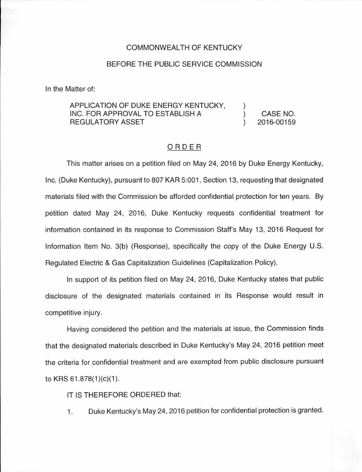## COMMONWEALTH OF KENTUCKY

## BEFORE THE PUBLIC SERVICE COMMISSION

In the Matter of:

## APPLICATION OF DUKE ENERGY KENTUCKY, INC. FOR APPROVAL TO ESTABLISH A REGULATORY ASSET CASE NO. 2016-00159

## ORDER

This matter arises on a petition filed on May 24, 2016 by Duke Energy Kentucky, Inc. (Duke Kentucky), pursuant to 807 KAR 5:001 , Section 13, requesting that designated materials filed with the Commission be afforded confidential protection for ten years. By petition dated May 24, 2016, Duke Kentucky requests confidential treatment for information contained in its response to Commission Staff's May 13, 2016 Request for Information Item No. 3(b) (Response), specifically the copy of the Duke Energy U.S. Regulated Electric & Gas Capitalization Guidelines (Capitalization Policy).

In support of its petition filed on May 24, 2016, Duke Kentucky states that public disclosure of the designated materials contained in its Response would result in competitive injury.

Having considered the petition and the materials at issue, the Commission finds that the designated materials described in Duke Kentucky's May 24, 2016 petition meet the criteria tor confidential treatment and are exempted from public disclosure pursuant to KRS  $61.878(1)(c)(1)$ .

IT IS THEREFORE ORDERED that:

1. Duke Kentucky's May 24, 2016 petition for confidential protection is granted.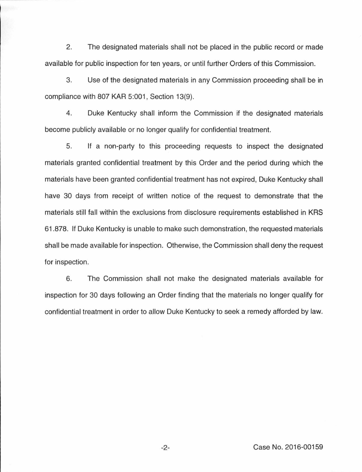2. The designated materials shall not be placed in the public record or made available for public inspection for ten years, or until further Orders of this Commission.

3. Use of the designated materials in any Commission proceeding shall be in compliance with 807 KAR 5:001, Section 13(9).

4. Duke Kentucky shall inform the Commission if the designated materials become publicly available or no longer qualify for confidential treatment.

5. If a non-party to this proceeding requests to inspect the designated materials granted confidential treatment by this Order and the period during which the materials have been granted confidential treatment has not expired, Duke Kentucky shall have 30 days from receipt of written notice of the request to demonstrate that the materials still fall within the exclusions from disclosure requirements established in KRS 61.878. If Duke Kentucky is unable to make such demonstration, the requested materials shall be made available for inspection. Otherwise, the Commission shall deny the request for inspection.

6. The Commission shall not make the designated materials available for inspection for 30 days following an Order finding that the materials no longer qualify for confidential treatment in order to allow Duke Kentucky to seek a remedy afforded by law.

-2- Case No. 2016-00159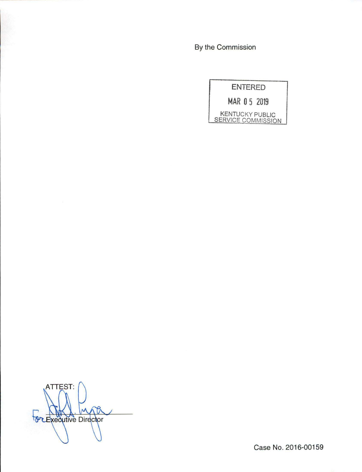By the Commission



ATTEST:  $\Lambda$ M For Executive Director

Case No. 2016-00159